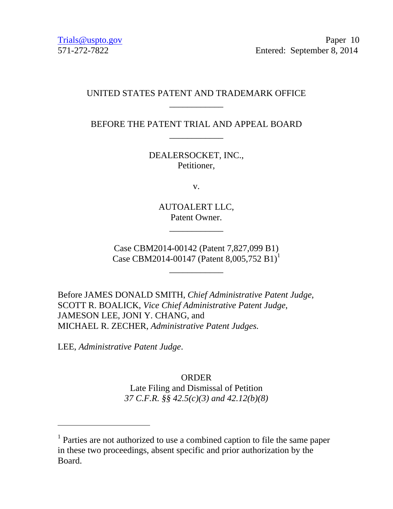# UNITED STATES PATENT AND TRADEMARK OFFICE \_\_\_\_\_\_\_\_\_\_\_\_

BEFORE THE PATENT TRIAL AND APPEAL BOARD \_\_\_\_\_\_\_\_\_\_\_\_

> DEALERSOCKET, INC., Petitioner,

> > v.

AUTOALERT LLC, Patent Owner.

\_\_\_\_\_\_\_\_\_\_\_\_

Case CBM2014-00142 (Patent 7,827,099 B1) Case CBM2014-00147 (Patent 8,005,752 B1)<sup>1</sup>

\_\_\_\_\_\_\_\_\_\_\_\_

Before JAMES DONALD SMITH, *Chief Administrative Patent Judge*, SCOTT R. BOALICK, *Vice Chief Administrative Patent Judge*, JAMESON LEE, JONI Y. CHANG, and MICHAEL R. ZECHER, *Administrative Patent Judges.* 

LEE, *Administrative Patent Judge*.

-

ORDER Late Filing and Dismissal of Petition *37 C.F.R. §§ 42.5(c)(3) and 42.12(b)(8)* 

<sup>&</sup>lt;sup>1</sup> Parties are not authorized to use a combined caption to file the same paper in these two proceedings, absent specific and prior authorization by the Board.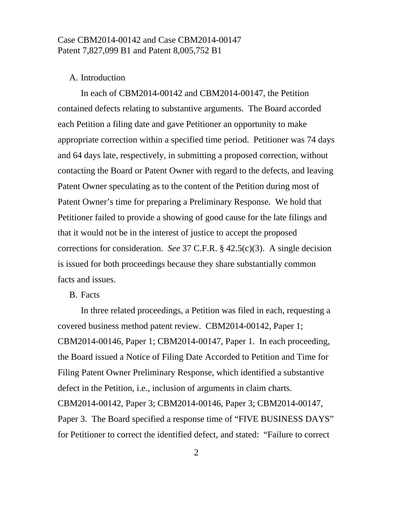#### A. Introduction

 In each of CBM2014-00142 and CBM2014-00147, the Petition contained defects relating to substantive arguments. The Board accorded each Petition a filing date and gave Petitioner an opportunity to make appropriate correction within a specified time period. Petitioner was 74 days and 64 days late, respectively, in submitting a proposed correction, without contacting the Board or Patent Owner with regard to the defects, and leaving Patent Owner speculating as to the content of the Petition during most of Patent Owner's time for preparing a Preliminary Response. We hold that Petitioner failed to provide a showing of good cause for the late filings and that it would not be in the interest of justice to accept the proposed corrections for consideration. *See* 37 C.F.R. § 42.5(c)(3). A single decision is issued for both proceedings because they share substantially common facts and issues.

### B. Facts

 In three related proceedings, a Petition was filed in each, requesting a covered business method patent review. CBM2014-00142, Paper 1; CBM2014-00146, Paper 1; CBM2014-00147, Paper 1. In each proceeding, the Board issued a Notice of Filing Date Accorded to Petition and Time for Filing Patent Owner Preliminary Response, which identified a substantive defect in the Petition, i.e., inclusion of arguments in claim charts. CBM2014-00142, Paper 3; CBM2014-00146, Paper 3; CBM2014-00147, Paper 3. The Board specified a response time of "FIVE BUSINESS DAYS" for Petitioner to correct the identified defect, and stated: "Failure to correct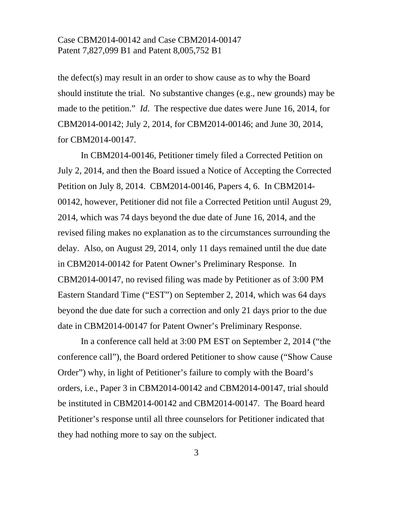the defect(s) may result in an order to show cause as to why the Board should institute the trial. No substantive changes (e.g., new grounds) may be made to the petition." *Id*. The respective due dates were June 16, 2014, for CBM2014-00142; July 2, 2014, for CBM2014-00146; and June 30, 2014, for CBM2014-00147.

 In CBM2014-00146, Petitioner timely filed a Corrected Petition on July 2, 2014, and then the Board issued a Notice of Accepting the Corrected Petition on July 8, 2014. CBM2014-00146, Papers 4, 6. In CBM2014- 00142, however, Petitioner did not file a Corrected Petition until August 29, 2014, which was 74 days beyond the due date of June 16, 2014, and the revised filing makes no explanation as to the circumstances surrounding the delay. Also, on August 29, 2014, only 11 days remained until the due date in CBM2014-00142 for Patent Owner's Preliminary Response. In CBM2014-00147, no revised filing was made by Petitioner as of 3:00 PM Eastern Standard Time ("EST") on September 2, 2014, which was 64 days beyond the due date for such a correction and only 21 days prior to the due date in CBM2014-00147 for Patent Owner's Preliminary Response.

 In a conference call held at 3:00 PM EST on September 2, 2014 ("the conference call"), the Board ordered Petitioner to show cause ("Show Cause Order") why, in light of Petitioner's failure to comply with the Board's orders, i.e., Paper 3 in CBM2014-00142 and CBM2014-00147, trial should be instituted in CBM2014-00142 and CBM2014-00147. The Board heard Petitioner's response until all three counselors for Petitioner indicated that they had nothing more to say on the subject.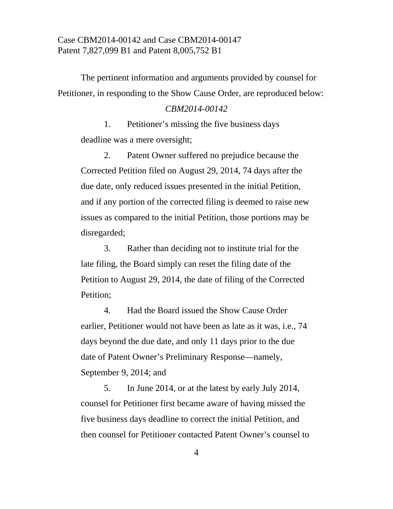The pertinent information and arguments provided by counsel for Petitioner, in responding to the Show Cause Order, are reproduced below:

### *CBM2014-00142*

 1. Petitioner's missing the five business days deadline was a mere oversight;

 2. Patent Owner suffered no prejudice because the Corrected Petition filed on August 29, 2014, 74 days after the due date, only reduced issues presented in the initial Petition, and if any portion of the corrected filing is deemed to raise new issues as compared to the initial Petition, those portions may be disregarded;

 3. Rather than deciding not to institute trial for the late filing, the Board simply can reset the filing date of the Petition to August 29, 2014, the date of filing of the Corrected Petition;

 4. Had the Board issued the Show Cause Order earlier, Petitioner would not have been as late as it was, i.e., 74 days beyond the due date, and only 11 days prior to the due date of Patent Owner's Preliminary Response—namely, September 9, 2014; and

 5. In June 2014, or at the latest by early July 2014, counsel for Petitioner first became aware of having missed the five business days deadline to correct the initial Petition, and then counsel for Petitioner contacted Patent Owner's counsel to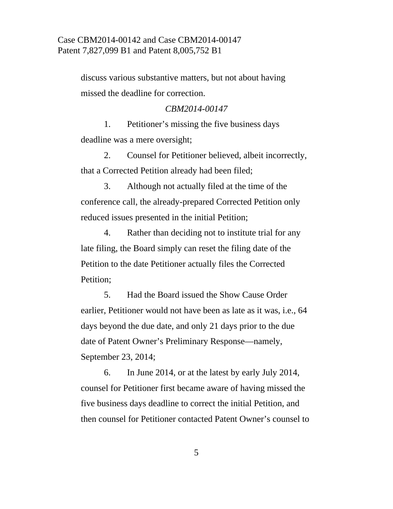discuss various substantive matters, but not about having missed the deadline for correction.

### *CBM2014-00147*

 1. Petitioner's missing the five business days deadline was a mere oversight;

 2. Counsel for Petitioner believed, albeit incorrectly, that a Corrected Petition already had been filed;

 3. Although not actually filed at the time of the conference call, the already-prepared Corrected Petition only reduced issues presented in the initial Petition;

 4. Rather than deciding not to institute trial for any late filing, the Board simply can reset the filing date of the Petition to the date Petitioner actually files the Corrected Petition;

 5. Had the Board issued the Show Cause Order earlier, Petitioner would not have been as late as it was, i.e., 64 days beyond the due date, and only 21 days prior to the due date of Patent Owner's Preliminary Response—namely, September 23, 2014;

 6. In June 2014, or at the latest by early July 2014, counsel for Petitioner first became aware of having missed the five business days deadline to correct the initial Petition, and then counsel for Petitioner contacted Patent Owner's counsel to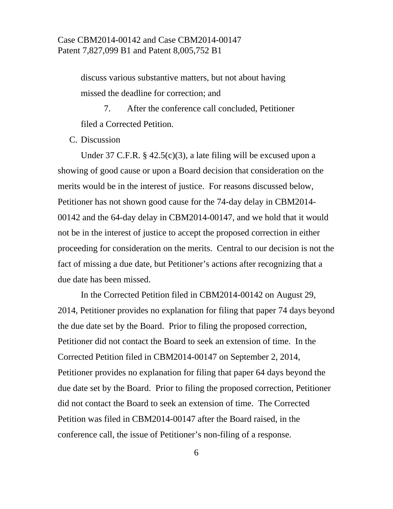discuss various substantive matters, but not about having missed the deadline for correction; and

 7. After the conference call concluded, Petitioner filed a Corrected Petition.

C. Discussion

 Under 37 C.F.R. § 42.5(c)(3), a late filing will be excused upon a showing of good cause or upon a Board decision that consideration on the merits would be in the interest of justice. For reasons discussed below, Petitioner has not shown good cause for the 74-day delay in CBM2014- 00142 and the 64-day delay in CBM2014-00147, and we hold that it would not be in the interest of justice to accept the proposed correction in either proceeding for consideration on the merits. Central to our decision is not the fact of missing a due date, but Petitioner's actions after recognizing that a due date has been missed.

 In the Corrected Petition filed in CBM2014-00142 on August 29, 2014, Petitioner provides no explanation for filing that paper 74 days beyond the due date set by the Board. Prior to filing the proposed correction, Petitioner did not contact the Board to seek an extension of time. In the Corrected Petition filed in CBM2014-00147 on September 2, 2014, Petitioner provides no explanation for filing that paper 64 days beyond the due date set by the Board. Prior to filing the proposed correction, Petitioner did not contact the Board to seek an extension of time. The Corrected Petition was filed in CBM2014-00147 after the Board raised, in the conference call, the issue of Petitioner's non-filing of a response.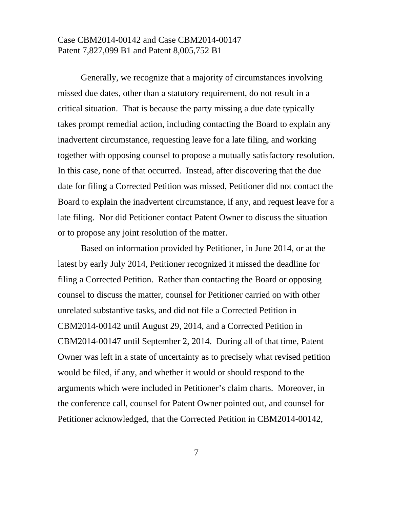Generally, we recognize that a majority of circumstances involving missed due dates, other than a statutory requirement, do not result in a critical situation. That is because the party missing a due date typically takes prompt remedial action, including contacting the Board to explain any inadvertent circumstance, requesting leave for a late filing, and working together with opposing counsel to propose a mutually satisfactory resolution. In this case, none of that occurred. Instead, after discovering that the due date for filing a Corrected Petition was missed, Petitioner did not contact the Board to explain the inadvertent circumstance, if any, and request leave for a late filing. Nor did Petitioner contact Patent Owner to discuss the situation or to propose any joint resolution of the matter.

 Based on information provided by Petitioner, in June 2014, or at the latest by early July 2014, Petitioner recognized it missed the deadline for filing a Corrected Petition. Rather than contacting the Board or opposing counsel to discuss the matter, counsel for Petitioner carried on with other unrelated substantive tasks, and did not file a Corrected Petition in CBM2014-00142 until August 29, 2014, and a Corrected Petition in CBM2014-00147 until September 2, 2014. During all of that time, Patent Owner was left in a state of uncertainty as to precisely what revised petition would be filed, if any, and whether it would or should respond to the arguments which were included in Petitioner's claim charts. Moreover, in the conference call, counsel for Patent Owner pointed out, and counsel for Petitioner acknowledged, that the Corrected Petition in CBM2014-00142,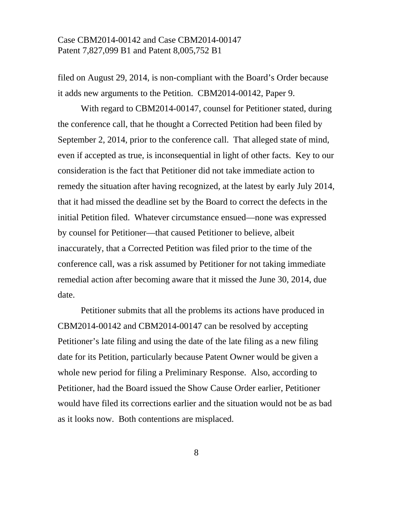filed on August 29, 2014, is non-compliant with the Board's Order because it adds new arguments to the Petition. CBM2014-00142, Paper 9.

 With regard to CBM2014-00147, counsel for Petitioner stated, during the conference call, that he thought a Corrected Petition had been filed by September 2, 2014, prior to the conference call. That alleged state of mind, even if accepted as true, is inconsequential in light of other facts. Key to our consideration is the fact that Petitioner did not take immediate action to remedy the situation after having recognized, at the latest by early July 2014, that it had missed the deadline set by the Board to correct the defects in the initial Petition filed. Whatever circumstance ensued—none was expressed by counsel for Petitioner—that caused Petitioner to believe, albeit inaccurately, that a Corrected Petition was filed prior to the time of the conference call, was a risk assumed by Petitioner for not taking immediate remedial action after becoming aware that it missed the June 30, 2014, due date.

 Petitioner submits that all the problems its actions have produced in CBM2014-00142 and CBM2014-00147 can be resolved by accepting Petitioner's late filing and using the date of the late filing as a new filing date for its Petition, particularly because Patent Owner would be given a whole new period for filing a Preliminary Response. Also, according to Petitioner, had the Board issued the Show Cause Order earlier, Petitioner would have filed its corrections earlier and the situation would not be as bad as it looks now. Both contentions are misplaced.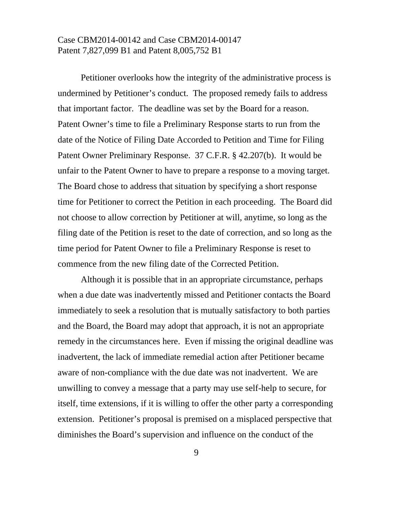Petitioner overlooks how the integrity of the administrative process is undermined by Petitioner's conduct. The proposed remedy fails to address that important factor. The deadline was set by the Board for a reason. Patent Owner's time to file a Preliminary Response starts to run from the date of the Notice of Filing Date Accorded to Petition and Time for Filing Patent Owner Preliminary Response. 37 C.F.R. § 42.207(b). It would be unfair to the Patent Owner to have to prepare a response to a moving target. The Board chose to address that situation by specifying a short response time for Petitioner to correct the Petition in each proceeding. The Board did not choose to allow correction by Petitioner at will, anytime, so long as the filing date of the Petition is reset to the date of correction, and so long as the time period for Patent Owner to file a Preliminary Response is reset to commence from the new filing date of the Corrected Petition.

 Although it is possible that in an appropriate circumstance, perhaps when a due date was inadvertently missed and Petitioner contacts the Board immediately to seek a resolution that is mutually satisfactory to both parties and the Board, the Board may adopt that approach, it is not an appropriate remedy in the circumstances here. Even if missing the original deadline was inadvertent, the lack of immediate remedial action after Petitioner became aware of non-compliance with the due date was not inadvertent. We are unwilling to convey a message that a party may use self-help to secure, for itself, time extensions, if it is willing to offer the other party a corresponding extension. Petitioner's proposal is premised on a misplaced perspective that diminishes the Board's supervision and influence on the conduct of the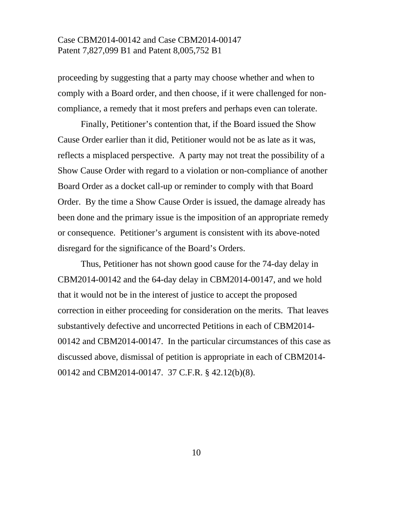proceeding by suggesting that a party may choose whether and when to comply with a Board order, and then choose, if it were challenged for noncompliance, a remedy that it most prefers and perhaps even can tolerate.

 Finally, Petitioner's contention that, if the Board issued the Show Cause Order earlier than it did, Petitioner would not be as late as it was, reflects a misplaced perspective. A party may not treat the possibility of a Show Cause Order with regard to a violation or non-compliance of another Board Order as a docket call-up or reminder to comply with that Board Order. By the time a Show Cause Order is issued, the damage already has been done and the primary issue is the imposition of an appropriate remedy or consequence. Petitioner's argument is consistent with its above-noted disregard for the significance of the Board's Orders.

 Thus, Petitioner has not shown good cause for the 74-day delay in CBM2014-00142 and the 64-day delay in CBM2014-00147, and we hold that it would not be in the interest of justice to accept the proposed correction in either proceeding for consideration on the merits. That leaves substantively defective and uncorrected Petitions in each of CBM2014- 00142 and CBM2014-00147. In the particular circumstances of this case as discussed above, dismissal of petition is appropriate in each of CBM2014- 00142 and CBM2014-00147. 37 C.F.R. § 42.12(b)(8).